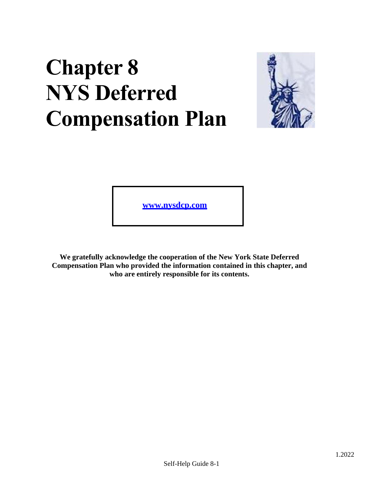# **Chapter 8 NYS Deferred Compensation Plan**



**[www.nysdcp.com](http://www.nysdcp.com/)**

**We gratefully acknowledge the cooperation of the New York State Deferred Compensation Plan who provided the information contained in this chapter, and who are entirely responsible for its contents.**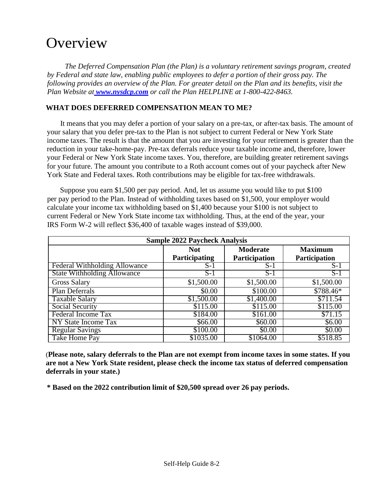# **Overview**

*The Deferred Compensation Plan (the Plan) is a voluntary retirement savings program, created by Federal and state law, enabling public employees to defer a portion of their gross pay. The following provides an overview of the Plan. For greater detail on the Plan and its benefits, visit the Plan Website at [www.nysdcp.com](http://www.nysdcp.com/) or call the Plan HELPLINE at 1-800-422-8463.*

# **WHAT DOES DEFERRED COMPENSATION MEAN TO ME?**

It means that you may defer a portion of your salary on a pre-tax, or after-tax basis. The amount of your salary that you defer pre-tax to the Plan is not subject to current Federal or New York State income taxes. The result is that the amount that you are investing for your retirement is greater than the reduction in your take-home-pay. Pre-tax deferrals reduce your taxable income and, therefore, lower your Federal or New York State income taxes. You, therefore, are building greater retirement savings for your future. The amount you contribute to a Roth account comes out of your paycheck after New York State and Federal taxes. Roth contributions may be eligible for tax-free withdrawals.

Suppose you earn \$1,500 per pay period. And, let us assume you would like to put \$100 per pay period to the Plan. Instead of withholding taxes based on \$1,500, your employer would calculate your income tax withholding based on \$1,400 because your \$100 is not subject to current Federal or New York State income tax withholding. Thus, at the end of the year, your IRS Form W-2 will reflect \$36,400 of taxable wages instead of \$39,000.

| <b>Sample 2022 Paycheck Analysis</b> |                      |                      |                |  |  |
|--------------------------------------|----------------------|----------------------|----------------|--|--|
|                                      | <b>Not</b>           | <b>Moderate</b>      | <b>Maximum</b> |  |  |
|                                      | <b>Participating</b> | <b>Participation</b> | Participation  |  |  |
| Federal Withholding Allowance        | $S-1$                | $S-1$                | $S-1$          |  |  |
| <b>State Withholding Allowance</b>   | $S-1$                | $S-1$                | $S-1$          |  |  |
| <b>Gross Salary</b>                  | \$1,500.00           | \$1,500.00           | \$1,500.00     |  |  |
| Plan Deferrals                       | \$0.00               | \$100.00             | \$788.46*      |  |  |
| <b>Taxable Salary</b>                | \$1,500.00           | \$1,400.00           | \$711.54       |  |  |
| Social Security                      | \$115.00             | \$115.00             | \$115.00       |  |  |
| Federal Income Tax                   | \$184.00             | \$161.00             | \$71.15        |  |  |
| NY State Income Tax                  | \$66.00              | \$60.00              | \$6.00         |  |  |
| <b>Regular Savings</b>               | \$100.00             | \$0.00               | \$0.00         |  |  |
| Take Home Pay                        | \$1035.00            | \$1064.00            | \$518.85       |  |  |

(**Please note, salary deferrals to the Plan are not exempt from income taxes in some states. If you are not a New York State resident, please check the income tax status of deferred compensation deferrals in your state.)**

**\* Based on the 2022 contribution limit of \$20,500 spread over 26 pay periods.**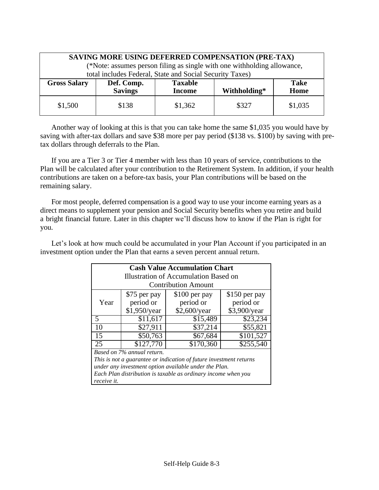| SAVING MORE USING DEFERRED COMPENSATION (PRE-TAX)<br>(*Note: assumes person filing as single with one withholding allowance,<br>total includes Federal, State and Social Security Taxes) |                              |                                 |              |                     |
|------------------------------------------------------------------------------------------------------------------------------------------------------------------------------------------|------------------------------|---------------------------------|--------------|---------------------|
| <b>Gross Salary</b>                                                                                                                                                                      | Def. Comp.<br><b>Savings</b> | <b>Taxable</b><br><b>Income</b> | Withholding* | <b>Take</b><br>Home |
| \$1,500                                                                                                                                                                                  | \$138                        | \$1,362                         | \$327        | \$1,035             |

Another way of looking at this is that you can take home the same \$1,035 you would have by saving with after-tax dollars and save \$38 more per pay period (\$138 vs. \$100) by saving with pretax dollars through deferrals to the Plan.

If you are a Tier 3 or Tier 4 member with less than 10 years of service, contributions to the Plan will be calculated after your contribution to the Retirement System. In addition, if your health contributions are taken on a before-tax basis, your Plan contributions will be based on the remaining salary.

For most people, deferred compensation is a good way to use your income earning years as a direct means to supplement your pension and Social Security benefits when you retire and build a bright financial future. Later in this chapter we'll discuss how to know if the Plan is right for you.

Let's look at how much could be accumulated in your Plan Account if you participated in an investment option under the Plan that earns a seven percent annual return.

| <b>Cash Value Accumulation Chart</b>                               |                |                            |                       |  |
|--------------------------------------------------------------------|----------------|----------------------------|-----------------------|--|
| Illustration of Accumulation Based on                              |                |                            |                       |  |
|                                                                    |                | <b>Contribution Amount</b> |                       |  |
|                                                                    | \$75 per pay   | $$100$ per pay             | \$150 per pay         |  |
| Year                                                               | period or      | period or                  | period or             |  |
|                                                                    | $$1,950$ /year | \$2,600/year               | \$3,900/year          |  |
| $\overline{\mathbf{5}}$                                            | \$11,617       | \$15,489                   | \$23,234              |  |
| 10                                                                 | \$27,911       | \$37,214                   | \$55,821              |  |
| 15                                                                 | \$50,763       | \$67,684                   | $\overline{$}101,527$ |  |
| 25                                                                 | \$127,770      | \$170,360                  | \$255,540             |  |
| Based on 7% annual return.                                         |                |                            |                       |  |
| This is not a guarantee or indication of future investment returns |                |                            |                       |  |
| under any investment option available under the Plan.              |                |                            |                       |  |
| Each Plan distribution is taxable as ordinary income when you      |                |                            |                       |  |
| receive it.                                                        |                |                            |                       |  |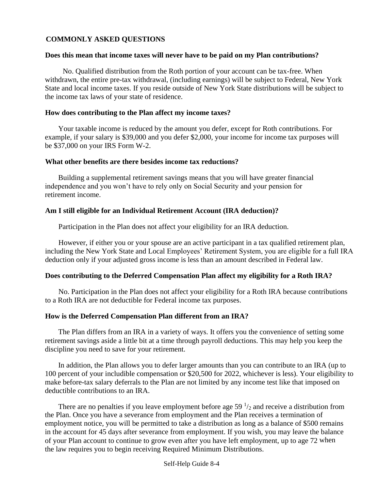# **COMMONLY ASKED QUESTIONS**

#### **Does this mean that income taxes will never have to be paid on my Plan contributions?**

No. Qualified distribution from the Roth portion of your account can be tax-free. When withdrawn, the entire pre-tax withdrawal, (including earnings) will be subject to Federal, New York State and local income taxes. If you reside outside of New York State distributions will be subject to the income tax laws of your state of residence.

# **How does contributing to the Plan affect my income taxes?**

Your taxable income is reduced by the amount you defer, except for Roth contributions. For example, if your salary is \$39,000 and you defer \$2,000, your income for income tax purposes will be \$37,000 on your IRS Form W-2.

#### **What other benefits are there besides income tax reductions?**

Building a supplemental retirement savings means that you will have greater financial independence and you won't have to rely only on Social Security and your pension for retirement income.

# **Am I still eligible for an Individual Retirement Account (IRA deduction)?**

Participation in the Plan does not affect your eligibility for an IRA deduction.

However, if either you or your spouse are an active participant in a tax qualified retirement plan, including the New York State and Local Employees' Retirement System, you are eligible for a full IRA deduction only if your adjusted gross income is less than an amount described in Federal law.

# **Does contributing to the Deferred Compensation Plan affect my eligibility for a Roth IRA?**

No. Participation in the Plan does not affect your eligibility for a Roth IRA because contributions to a Roth IRA are not deductible for Federal income tax purposes.

# **How is the Deferred Compensation Plan different from an IRA?**

The Plan differs from an IRA in a variety of ways. It offers you the convenience of setting some retirement savings aside a little bit at a time through payroll deductions. This may help you keep the discipline you need to save for your retirement.

In addition, the Plan allows you to defer larger amounts than you can contribute to an IRA (up to 100 percent of your includible compensation or \$20,500 for 2022, whichever is less). Your eligibility to make before-tax salary deferrals to the Plan are not limited by any income test like that imposed on deductible contributions to an IRA.

There are no penalties if you leave employment before age  $59<sup>1</sup>/2$  and receive a distribution from the Plan. Once you have a severance from employment and the Plan receives a termination of employment notice, you will be permitted to take a distribution as long as a balance of \$500 remains in the account for 45 days after severance from employment. If you wish, you may leave the balance of your Plan account to continue to grow even after you have left employment, up to age 72 when the law requires you to begin receiving Required Minimum Distributions.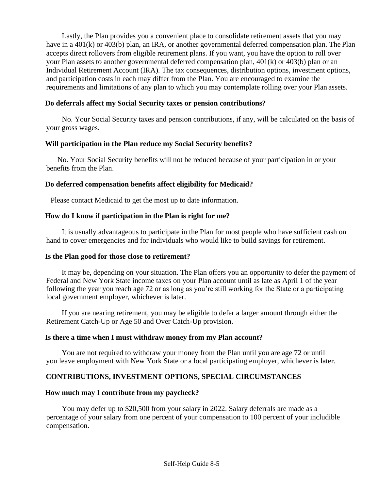Lastly, the Plan provides you a convenient place to consolidate retirement assets that you may have in a 401(k) or 403(b) plan, an IRA, or another governmental deferred compensation plan. The Plan accepts direct rollovers from eligible retirement plans. If you want, you have the option to roll over your Plan assets to another governmental deferred compensation plan, 401(k) or 403(b) plan or an Individual Retirement Account (IRA). The tax consequences, distribution options, investment options, and participation costs in each may differ from the Plan. You are encouraged to examine the requirements and limitations of any plan to which you may contemplate rolling over your Plan assets.

# **Do deferrals affect my Social Security taxes or pension contributions?**

No. Your Social Security taxes and pension contributions, if any, will be calculated on the basis of your gross wages.

# **Will participation in the Plan reduce my Social Security benefits?**

No. Your Social Security benefits will not be reduced because of your participation in or your benefits from the Plan.

# **Do deferred compensation benefits affect eligibility for Medicaid?**

Please contact Medicaid to get the most up to date information.

# **How do I know if participation in the Plan is right for me?**

It is usually advantageous to participate in the Plan for most people who have sufficient cash on hand to cover emergencies and for individuals who would like to build savings for retirement.

# **Is the Plan good for those close to retirement?**

It may be, depending on your situation. The Plan offers you an opportunity to defer the payment of Federal and New York State income taxes on your Plan account until as late as April 1 of the year following the year you reach age 72 or as long as you're still working for the State or a participating local government employer, whichever is later.

If you are nearing retirement, you may be eligible to defer a larger amount through either the Retirement Catch-Up or Age 50 and Over Catch-Up provision.

# **Is there a time when I must withdraw money from my Plan account?**

You are not required to withdraw your money from the Plan until you are age 72 or until you leave employment with New York State or a local participating employer, whichever is later.

# **CONTRIBUTIONS, INVESTMENT OPTIONS, SPECIAL CIRCUMSTANCES**

# **How much may I contribute from my paycheck?**

You may defer up to \$20,500 from your salary in 2022. Salary deferrals are made as a percentage of your salary from one percent of your compensation to 100 percent of your includible compensation.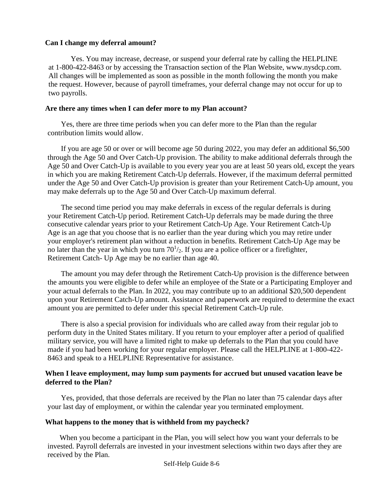# **Can I change my deferral amount?**

Yes. You may increase, decrease, or suspend your deferral rate by calling the HELPLINE at 1-800-422-8463 or by accessing the Transaction section of the Plan Website, [www.nysdcp.com.](http://www.nysdcp.com/)  All changes will be implemented as soon as possible in the month following the month you make the request. However, because of payroll timeframes, your deferral change may not occur for up to two payrolls.

# **Are there any times when I can defer more to my Plan account?**

Yes, there are three time periods when you can defer more to the Plan than the regular contribution limits would allow.

If you are age 50 or over or will become age 50 during 2022, you may defer an additional \$6,500 through the Age 50 and Over Catch-Up provision. The ability to make additional deferrals through the Age 50 and Over Catch-Up is available to you every year you are at least 50 years old, except the years in which you are making Retirement Catch-Up deferrals. However, if the maximum deferral permitted under the Age 50 and Over Catch-Up provision is greater than your Retirement Catch-Up amount, you may make deferrals up to the Age 50 and Over Catch-Up maximum deferral.

The second time period you may make deferrals in excess of the regular deferrals is during your Retirement Catch-Up period. Retirement Catch-Up deferrals may be made during the three consecutive calendar years prior to your Retirement Catch-Up Age. Your Retirement Catch-Up Age is an age that you choose that is no earlier than the year during which you may retire under your employer's retirement plan without a reduction in benefits. Retirement Catch-Up Age may be no later than the year in which you turn  $70<sup>1</sup>/<sub>2</sub>$ . If you are a police officer or a firefighter, Retirement Catch- Up Age may be no earlier than age 40.

The amount you may defer through the Retirement Catch-Up provision is the difference between the amounts you were eligible to defer while an employee of the State or a Participating Employer and your actual deferrals to the Plan. In 2022, you may contribute up to an additional \$20,500 dependent upon your Retirement Catch-Up amount. Assistance and paperwork are required to determine the exact amount you are permitted to defer under this special Retirement Catch-Up rule.

There is also a special provision for individuals who are called away from their regular job to perform duty in the United States military. If you return to your employer after a period of qualified military service, you will have a limited right to make up deferrals to the Plan that you could have made if you had been working for your regular employer. Please call the HELPLINE at 1-800-422- 8463 and speak to a HELPLINE Representative for assistance.

# **When I leave employment, may lump sum payments for accrued but unused vacation leave be deferred to the Plan?**

Yes, provided, that those deferrals are received by the Plan no later than 75 calendar days after your last day of employment, or within the calendar year you terminated employment.

# **What happens to the money that is withheld from my paycheck?**

When you become a participant in the Plan, you will select how you want your deferrals to be invested. Payroll deferrals are invested in your investment selections within two days after they are received by the Plan.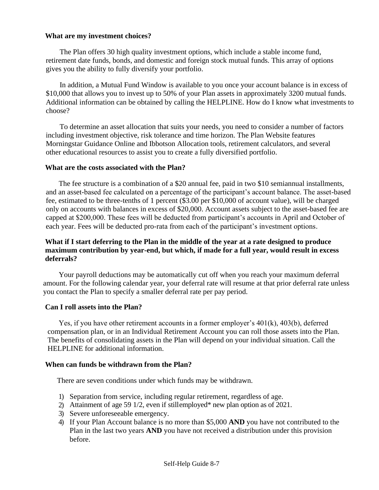# **What are my investment choices?**

The Plan offers 30 high quality investment options, which include a stable income fund, retirement date funds, bonds, and domestic and foreign stock mutual funds. This array of options gives you the ability to fully diversify your portfolio.

In addition, a Mutual Fund Window is available to you once your account balance is in excess of \$10,000 that allows you to invest up to 50% of your Plan assets in approximately 3200 mutual funds. Additional information can be obtained by calling the HELPLINE. How do I know what investments to choose?

To determine an asset allocation that suits your needs, you need to consider a number of factors including investment objective, risk tolerance and time horizon. The Plan Website features Morningstar Guidance Online and Ibbotson Allocation tools, retirement calculators, and several other educational resources to assist you to create a fully diversified portfolio.

# **What are the costs associated with the Plan?**

The fee structure is a combination of a \$20 annual fee, paid in two \$10 semiannual installments, and an asset-based fee calculated on a percentage of the participant's account balance. The asset-based fee, estimated to be three-tenths of 1 percent (\$3.00 per \$10,000 of account value), will be charged only on accounts with balances in excess of \$20,000. Account assets subject to the asset-based fee are capped at \$200,000. These fees will be deducted from participant's accounts in April and October of each year. Fees will be deducted pro-rata from each of the participant's investment options.

# **What if I start deferring to the Plan in the middle of the year at a rate designed to produce maximum contribution by year-end, but which, if made for a full year, would result in excess deferrals?**

Your payroll deductions may be automatically cut off when you reach your maximum deferral amount. For the following calendar year, your deferral rate will resume at that prior deferral rate unless you contact the Plan to specify a smaller deferral rate per pay period.

# **Can I roll assets into the Plan?**

Yes, if you have other retirement accounts in a former employer's 401(k), 403(b), deferred compensation plan, or in an Individual Retirement Account you can roll those assets into the Plan. The benefits of consolidating assets in the Plan will depend on your individual situation. Call the HELPLINE for additional information.

# **When can funds be withdrawn from the Plan?**

There are seven conditions under which funds may be withdrawn.

- 1) Separation from service, including regular retirement, regardless of age.
- 2) Attainment of age 59 1/2, even if stillemployed\* new plan option as of 2021.
- 3) Severe unforeseeable emergency.
- 4) If your Plan Account balance is no more than \$5,000 **AND** you have not contributed to the Plan in the last two years **AND** you have not received a distribution under this provision before.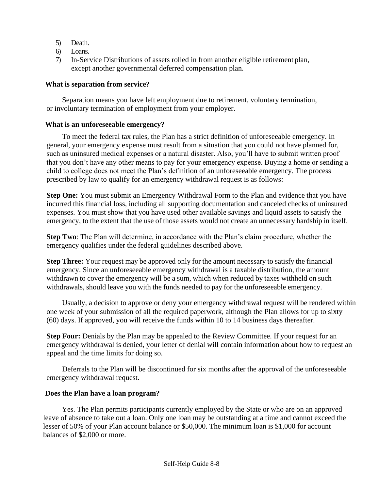- 5) Death.
- 6) Loans.
- 7) In-Service Distributions of assets rolled in from another eligible retirement plan, except another governmental deferred compensation plan.

# **What is separation from service?**

Separation means you have left employment due to retirement, voluntary termination, or involuntary termination of employment from your employer.

# **What is an unforeseeable emergency?**

To meet the federal tax rules, the Plan has a strict definition of unforeseeable emergency. In general, your emergency expense must result from a situation that you could not have planned for, such as uninsured medical expenses or a natural disaster. Also, you'll have to submit written proof that you don't have any other means to pay for your emergency expense. Buying a home or sending a child to college does not meet the Plan's definition of an unforeseeable emergency. The process prescribed by law to qualify for an emergency withdrawal request is as follows:

**Step One:** You must submit an Emergency Withdrawal Form to the Plan and evidence that you have incurred this financial loss, including all supporting documentation and canceled checks of uninsured expenses. You must show that you have used other available savings and liquid assets to satisfy the emergency, to the extent that the use of those assets would not create an unnecessary hardship in itself.

**Step Two**: The Plan will determine, in accordance with the Plan's claim procedure, whether the emergency qualifies under the federal guidelines described above.

**Step Three:** Your request may be approved only for the amount necessary to satisfy the financial emergency. Since an unforeseeable emergency withdrawal is a taxable distribution, the amount withdrawn to cover the emergency will be a sum, which when reduced by taxes withheld on such withdrawals, should leave you with the funds needed to pay for the unforeseeable emergency.

Usually, a decision to approve or deny your emergency withdrawal request will be rendered within one week of your submission of all the required paperwork, although the Plan allows for up to sixty (60) days. If approved, you will receive the funds within 10 to 14 business days thereafter.

**Step Four:** Denials by the Plan may be appealed to the Review Committee. If your request for an emergency withdrawal is denied, your letter of denial will contain information about how to request an appeal and the time limits for doing so.

Deferrals to the Plan will be discontinued for six months after the approval of the unforeseeable emergency withdrawal request.

# **Does the Plan have a loan program?**

Yes. The Plan permits participants currently employed by the State or who are on an approved leave of absence to take out a loan. Only one loan may be outstanding at a time and cannot exceed the lesser of 50% of your Plan account balance or \$50,000. The minimum loan is \$1,000 for account balances of \$2,000 or more.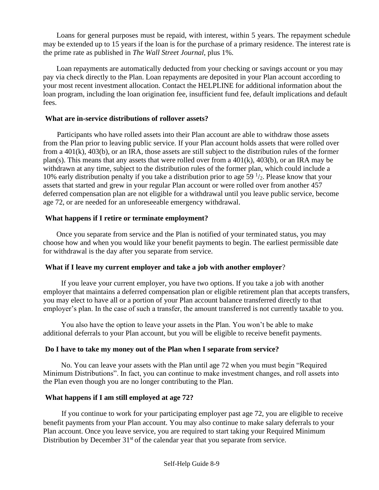Loans for general purposes must be repaid, with interest, within 5 years. The repayment schedule may be extended up to 15 years if the loan is for the purchase of a primary residence. The interest rate is the prime rate as published in *The Wall Street Journal*, plus 1%.

Loan repayments are automatically deducted from your checking or savings account or you may pay via check directly to the Plan. Loan repayments are deposited in your Plan account according to your most recent investment allocation. Contact the HELPLINE for additional information about the loan program, including the loan origination fee, insufficient fund fee, default implications and default fees.

# **What are in-service distributions of rollover assets?**

Participants who have rolled assets into their Plan account are able to withdraw those assets from the Plan prior to leaving public service. If your Plan account holds assets that were rolled over from a 401(k), 403(b), or an IRA, those assets are still subject to the distribution rules of the former plan(s). This means that any assets that were rolled over from a 401(k), 403(b), or an IRA may be withdrawn at any time, subject to the distribution rules of the former plan, which could include a 10% early distribution penalty if you take a distribution prior to age 59 $\frac{1}{2}$ . Please know that your assets that started and grew in your regular Plan account or were rolled over from another 457 deferred compensation plan are not eligible for a withdrawal until you leave public service, become age 72, or are needed for an unforeseeable emergency withdrawal.

# **What happens if I retire or terminate employment?**

Once you separate from service and the Plan is notified of your terminated status, you may choose how and when you would like your benefit payments to begin. The earliest permissible date for withdrawal is the day after you separate from service.

# **What if I leave my current employer and take a job with another employer**?

If you leave your current employer, you have two options. If you take a job with another employer that maintains a deferred compensation plan or eligible retirement plan that accepts transfers, you may elect to have all or a portion of your Plan account balance transferred directly to that employer's plan. In the case of such a transfer, the amount transferred is not currently taxable to you.

You also have the option to leave your assets in the Plan. You won't be able to make additional deferrals to your Plan account, but you will be eligible to receive benefit payments.

#### **Do I have to take my money out of the Plan when I separate from service?**

No. You can leave your assets with the Plan until age 72 when you must begin "Required Minimum Distributions". In fact, you can continue to make investment changes, and roll assets into the Plan even though you are no longer contributing to the Plan.

# **What happens if I am still employed at age 72?**

If you continue to work for your participating employer past age 72, you are eligible to receive benefit payments from your Plan account. You may also continue to make salary deferrals to your Plan account. Once you leave service, you are required to start taking your Required Minimum Distribution by December  $31<sup>st</sup>$  of the calendar year that you separate from service.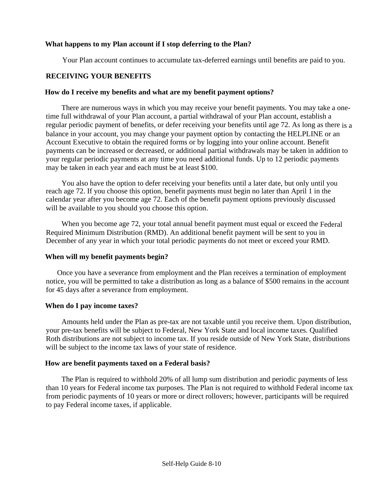# **What happens to my Plan account if I stop deferring to the Plan?**

Your Plan account continues to accumulate tax-deferred earnings until benefits are paid to you.

# **RECEIVING YOUR BENEFITS**

#### **How do I receive my benefits and what are my benefit payment options?**

There are numerous ways in which you may receive your benefit payments. You may take a onetime full withdrawal of your Plan account, a partial withdrawal of your Plan account, establish a regular periodic payment of benefits, or defer receiving your benefits until age 72. As long as there is a balance in your account, you may change your payment option by contacting the HELPLINE or an Account Executive to obtain the required forms or by logging into your online account. Benefit payments can be increased or decreased, or additional partial withdrawals may be taken in addition to your regular periodic payments at any time you need additional funds. Up to 12 periodic payments may be taken in each year and each must be at least \$100.

You also have the option to defer receiving your benefits until a later date, but only until you reach age 72. If you choose this option, benefit payments must begin no later than April 1 in the calendar year after you become age 72. Each of the benefit payment options previously discussed will be available to you should you choose this option.

When you become age 72, your total annual benefit payment must equal or exceed the Federal Required Minimum Distribution (RMD). An additional benefit payment will be sent to you in December of any year in which your total periodic payments do not meet or exceed your RMD.

# **When will my benefit payments begin?**

Once you have a severance from employment and the Plan receives a termination of employment notice, you will be permitted to take a distribution as long as a balance of \$500 remains in the account for 45 days after a severance from employment.

# **When do I pay income taxes?**

Amounts held under the Plan as pre-tax are not taxable until you receive them. Upon distribution, your pre-tax benefits will be subject to Federal, New York State and local income taxes. Qualified Roth distributions are not subject to income tax. If you reside outside of New York State, distributions will be subject to the income tax laws of your state of residence.

# **How are benefit payments taxed on a Federal basis?**

The Plan is required to withhold 20% of all lump sum distribution and periodic payments of less than 10 years for Federal income tax purposes. The Plan is not required to withhold Federal income tax from periodic payments of 10 years or more or direct rollovers; however, participants will be required to pay Federal income taxes, if applicable.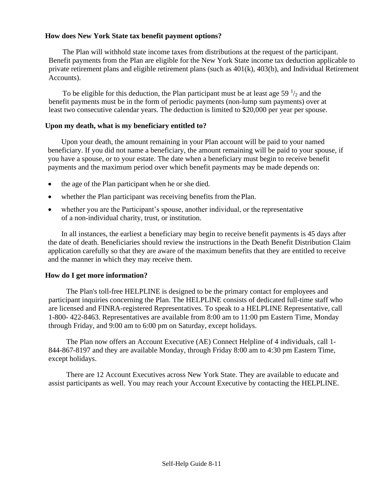# **How does New York State tax benefit payment options?**

The Plan will withhold state income taxes from distributions at the request of the participant. Benefit payments from the Plan are eligible for the New York State income tax deduction applicable to private retirement plans and eligible retirement plans (such as  $401(k)$ ,  $403(b)$ , and Individual Retirement Accounts).

To be eligible for this deduction, the Plan participant must be at least age 59 $\frac{1}{2}$  and the benefit payments must be in the form of periodic payments (non-lump sum payments) over at least two consecutive calendar years. The deduction is limited to \$20,000 per year per spouse.

# **Upon my death, what is my beneficiary entitled to?**

Upon your death, the amount remaining in your Plan account will be paid to your named beneficiary. If you did not name a beneficiary, the amount remaining will be paid to your spouse, if you have a spouse, or to your estate. The date when a beneficiary must begin to receive benefit payments and the maximum period over which benefit payments may be made depends on:

- the age of the Plan participant when he or she died.
- whether the Plan participant was receiving benefits from the Plan.
- whether you are the Participant's spouse, another individual, or the representative of a non-individual charity, trust, or institution.

In all instances, the earliest a beneficiary may begin to receive benefit payments is 45 days after the date of death. Beneficiaries should review the instructions in the Death Benefit Distribution Claim application carefully so that they are aware of the maximum benefits that they are entitled to receive and the manner in which they may receive them.

# **How do I get more information?**

The Plan's toll-free HELPLINE is designed to be the primary contact for employees and participant inquiries concerning the Plan. The HELPLINE consists of dedicated full-time staff who are licensed and FINRA-registered Representatives. To speak to a HELPLINE Representative, call 1-800- 422-8463. Representatives are available from 8:00 am to 11:00 pm Eastern Time, Monday through Friday, and 9:00 am to 6:00 pm on Saturday, except holidays.

The Plan now offers an Account Executive (AE) Connect Helpline of 4 individuals, call 1- 844-867-8197 and they are available Monday, through Friday 8:00 am to 4:30 pm Eastern Time, except holidays.

There are 12 Account Executives across New York State. They are available to educate and assist participants as well. You may reach your Account Executive by contacting the HELPLINE.